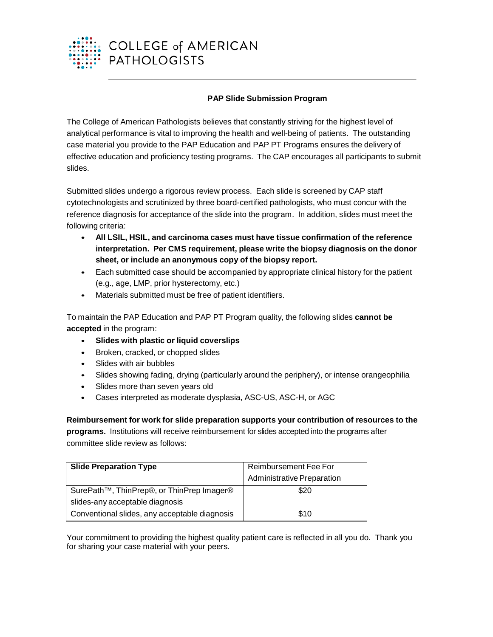

## **PAP Slide Submission Program**

The College of American Pathologists believes that constantly striving for the highest level of analytical performance is vital to improving the health and well-being of patients. The outstanding case material you provide to the PAP Education and PAP PT Programs ensures the delivery of effective education and proficiency testing programs. The CAP encourages all participants to submit slides.

Submitted slides undergo a rigorous review process. Each slide is screened by CAP staff cytotechnologists and scrutinized by three board-certified pathologists, who must concur with the reference diagnosis for acceptance of the slide into the program. In addition, slides must meet the following criteria:

- **All LSIL, HSIL, and carcinoma cases must have tissue confirmation of the reference interpretation. Per CMS requirement, please write the biopsy diagnosis on the donor sheet, or include an anonymous copy of the biopsy report.**
- Each submitted case should be accompanied by appropriate clinical history for the patient (e.g., age, LMP, prior hysterectomy, etc.)
- Materials submitted must be free of patient identifiers.

To maintain the PAP Education and PAP PT Program quality, the following slides **cannot be accepted** in the program:

- **Slides with plastic or liquid coverslips**
- Broken, cracked, or chopped slides
- Slides with air bubbles
- Slides showing fading, drying (particularly around the periphery), or intense orangeophilia
- Slides more than seven years old
- Cases interpreted as moderate dysplasia, ASC-US, ASC-H, or AGC

**Reimbursement for work for slide preparation supports your contribution of resources to the programs.** Institutions will receive reimbursement for slides accepted into the programs after committee slide review as follows:

| <b>Slide Preparation Type</b>                          | Reimbursement Fee For             |  |  |  |
|--------------------------------------------------------|-----------------------------------|--|--|--|
|                                                        | <b>Administrative Preparation</b> |  |  |  |
| SurePath <sup>™</sup> , ThinPrep®, or ThinPrep Imager® | \$20                              |  |  |  |
| slides-any acceptable diagnosis                        |                                   |  |  |  |
| Conventional slides, any acceptable diagnosis          | \$10                              |  |  |  |

Your commitment to providing the highest quality patient care is reflected in all you do. Thank you for sharing your case material with your peers.